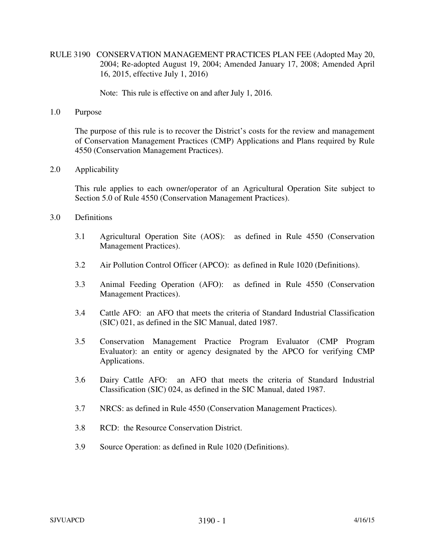## RULE 3190 CONSERVATION MANAGEMENT PRACTICES PLAN FEE (Adopted May 20, 2004; Re-adopted August 19, 2004; Amended January 17, 2008; Amended April 16, 2015, effective July 1, 2016)

Note: This rule is effective on and after July 1, 2016.

#### 1.0 Purpose

The purpose of this rule is to recover the District's costs for the review and management of Conservation Management Practices (CMP) Applications and Plans required by Rule 4550 (Conservation Management Practices).

### 2.0 Applicability

This rule applies to each owner/operator of an Agricultural Operation Site subject to Section 5.0 of Rule 4550 (Conservation Management Practices).

- 3.0 Definitions
	- 3.1 Agricultural Operation Site (AOS): as defined in Rule 4550 (Conservation Management Practices).
	- 3.2 Air Pollution Control Officer (APCO): as defined in Rule 1020 (Definitions).
	- 3.3 Animal Feeding Operation (AFO): as defined in Rule 4550 (Conservation Management Practices).
	- 3.4 Cattle AFO: an AFO that meets the criteria of Standard Industrial Classification (SIC) 021, as defined in the SIC Manual, dated 1987.
	- 3.5 Conservation Management Practice Program Evaluator (CMP Program Evaluator): an entity or agency designated by the APCO for verifying CMP Applications.
	- 3.6 Dairy Cattle AFO: an AFO that meets the criteria of Standard Industrial Classification (SIC) 024, as defined in the SIC Manual, dated 1987.
	- 3.7 NRCS: as defined in Rule 4550 (Conservation Management Practices).
	- 3.8 RCD: the Resource Conservation District.
	- 3.9 Source Operation: as defined in Rule 1020 (Definitions).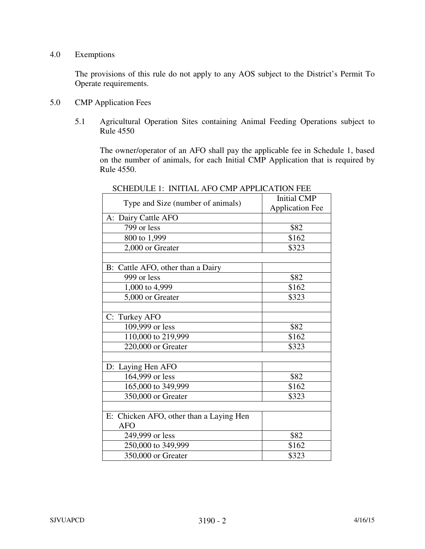# 4.0 Exemptions

The provisions of this rule do not apply to any AOS subject to the District's Permit To Operate requirements.

- 5.0 CMP Application Fees
	- 5.1 Agricultural Operation Sites containing Animal Feeding Operations subject to Rule 4550

 The owner/operator of an AFO shall pay the applicable fee in Schedule 1, based on the number of animals, for each Initial CMP Application that is required by Rule 4550.

| Type and Size (number of animals)       | <b>Initial CMP</b>     |
|-----------------------------------------|------------------------|
|                                         | <b>Application Fee</b> |
| A: Dairy Cattle AFO                     |                        |
| 799 or less                             | \$82                   |
| 800 to 1,999                            | \$162                  |
| 2,000 or Greater                        | \$323                  |
|                                         |                        |
| B: Cattle AFO, other than a Dairy       |                        |
| 999 or less                             | \$82                   |
| 1,000 to 4,999                          | \$162                  |
| 5,000 or Greater                        | \$323                  |
|                                         |                        |
| C: Turkey AFO                           |                        |
| 109,999 or less                         | \$82                   |
| 110,000 to 219,999                      | \$162                  |
| 220,000 or Greater                      | \$323                  |
|                                         |                        |
| D: Laying Hen AFO                       |                        |
| 164,999 or less                         | \$82                   |
| 165,000 to 349,999                      | \$162                  |
| 350,000 or Greater                      | \$323                  |
|                                         |                        |
| E: Chicken AFO, other than a Laying Hen |                        |
| AFO                                     |                        |
| 249,999 or less                         | \$82                   |
| 250,000 to 349,999                      | \$162                  |
| 350,000 or Greater                      | \$323                  |

SCHEDULE 1: INITIAL AFO CMP APPLICATION FEE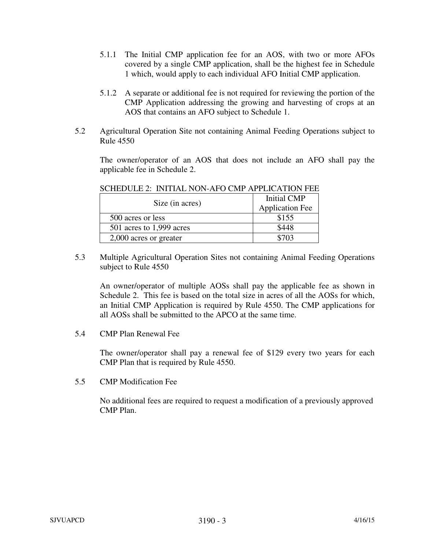- 5.1.1 The Initial CMP application fee for an AOS, with two or more AFOs covered by a single CMP application, shall be the highest fee in Schedule 1 which, would apply to each individual AFO Initial CMP application.
- 5.1.2 A separate or additional fee is not required for reviewing the portion of the CMP Application addressing the growing and harvesting of crops at an AOS that contains an AFO subject to Schedule 1.
- 5.2 Agricultural Operation Site not containing Animal Feeding Operations subject to Rule 4550

The owner/operator of an AOS that does not include an AFO shall pay the applicable fee in Schedule 2.

| Size (in acres)          | <b>Initial CMP</b><br><b>Application Fee</b> |
|--------------------------|----------------------------------------------|
| 500 acres or less        | \$155                                        |
| 501 acres to 1,999 acres | \$448                                        |
| 2,000 acres or greater   | \$703                                        |

SCHEDULE 2: INITIAL NON-AFO CMP APPLICATION FEE

5.3 Multiple Agricultural Operation Sites not containing Animal Feeding Operations subject to Rule 4550

An owner/operator of multiple AOSs shall pay the applicable fee as shown in Schedule 2. This fee is based on the total size in acres of all the AOSs for which, an Initial CMP Application is required by Rule 4550. The CMP applications for all AOSs shall be submitted to the APCO at the same time.

5.4 CMP Plan Renewal Fee

The owner/operator shall pay a renewal fee of \$129 every two years for each CMP Plan that is required by Rule 4550.

5.5 CMP Modification Fee

No additional fees are required to request a modification of a previously approved CMP Plan.